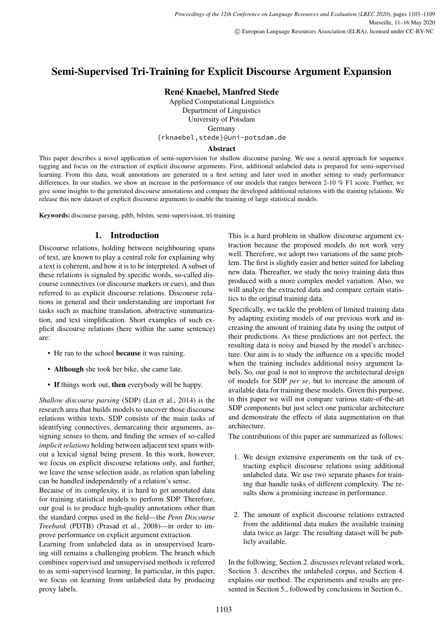# Semi-Supervised Tri-Training for Explicit Discourse Argument Expansion

## René Knaebel, Manfred Stede

Applied Computational Linguistics Department of Linguistics University of Potsdam Germany {rknaebel,stede}@uni-potsdam.de

### Abstract

This paper describes a novel application of semi-supervision for shallow discourse parsing. We use a neural approach for sequence tagging and focus on the extraction of explicit discourse arguments. First, additional unlabeled data is prepared for semi-supervised learning. From this data, weak annotations are generated in a first setting and later used in another setting to study performance differences. In our studies, we show an increase in the performance of our models that ranges between 2-10 % F1 score. Further, we give some insights to the generated discourse annotations and compare the developed additional relations with the training relations. We release this new dataset of explicit discourse arguments to enable the training of large statistical models.

Keywords: discourse parsing, pdtb, bilstm, semi-supervision, tri-training

## 1. Introduction

Discourse relations, holding between neighbouring spans of text, are known to play a central role for explaining why a text is coherent, and how it is to be interpreted. A subset of these relations is signaled by specific words, so-called discourse connectives (or discourse markers or cues), and thus referred to as explicit discourse relations. Discourse relations in general and their understanding are important for tasks such as machine translation, abstractive summarization, and text simplification. Short examples of such explicit discourse relations (here within the same sentence) are:

- He ran to the school **because** it was raining.
- Although she took her bike, she came late.
- If things work out, then everybody will be happy.

*Shallow discourse parsing* (SDP) (Lin et al., 2014) is the research area that builds models to uncover those discourse relations within texts. SDP consists of the main tasks of identifying connectives, demarcating their arguments, assigning senses to them, and finding the senses of so-called *implicit relations* holding between adjacent text spans without a lexical signal being present. In this work, however, we focus on explicit discourse relations only, and further, we leave the sense selection aside, as relation span labeling can be handled independently of a relation's sense.

Because of its complexity, it is hard to get annotated data for training statistical models to perform SDP. Therefore, our goal is to produce high-quality annotations other than the standard corpus used in the field—the *Penn Discourse Treebank* (PDTB) (Prasad et al., 2008)—in order to improve performance on explicit argument extraction.

Learning from unlabeled data as in unsupervised learning still remains a challenging problem. The branch which combines supervised and unsupervised methods is referred to as semi-supervised learning. In particular, in this paper, we focus on learning from unlabeled data by producing proxy labels.

This is a hard problem in shallow discourse argument extraction because the proposed models do not work very well. Therefore, we adopt two variations of the same problem. The first is slightly easier and better suited for labeling new data. Thereafter, we study the noisy training data thus produced with a more complex model variation. Also, we will analyze the extracted data and compare certain statistics to the original training data.

Specifically, we tackle the problem of limited training data by adapting existing models of our previous work and increasing the amount of training data by using the output of their predictions. As these predictions are not perfect, the resulting data is noisy and biased by the model's architecture. Our aim is to study the influence on a specific model when the training includes additional noisy argument labels. So, our goal is not to improve the architectural design of models for SDP *per se*, but to increase the amount of available data for training these models. Given this purpose, in this paper we will not compare various state-of-the-art SDP components but just select one particular architecture and demonstrate the effects of data augmentation on that architecture.

The contributions of this paper are summarized as follows:

- 1. We design extensive experiments on the task of extracting explicit discourse relations using additional unlabeled data. We use two separate phases for training that handle tasks of different complexity. The results show a promising increase in performance.
- 2. The amount of explicit discourse relations extracted from the additional data makes the available training data twice as large. The resulting dataset will be publicly available.

In the following, Section 2. discusses relevant related work, Section 3. describes the unlabeled corpus, and Section 4. explains our method. The experiments and results are presented in Section 5., followed by conclusions in Section 6..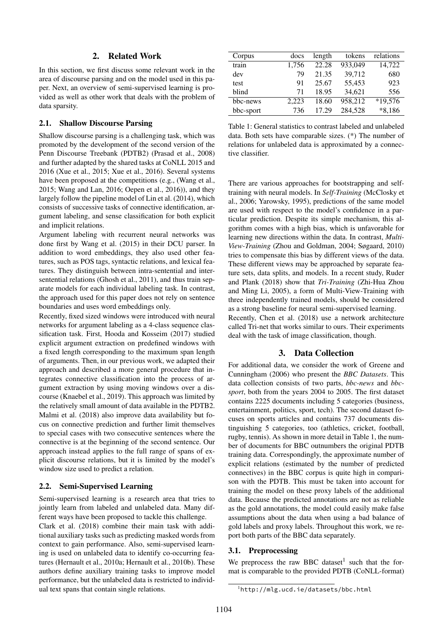## 2. Related Work

In this section, we first discuss some relevant work in the area of discourse parsing and on the model used in this paper. Next, an overview of semi-supervised learning is provided as well as other work that deals with the problem of data sparsity.

## 2.1. Shallow Discourse Parsing

Shallow discourse parsing is a challenging task, which was promoted by the development of the second version of the Penn Discourse Treebank (PDTB2) (Prasad et al., 2008) and further adapted by the shared tasks at CoNLL 2015 and 2016 (Xue et al., 2015; Xue et al., 2016). Several systems have been proposed at the competitions (e.g., (Wang et al., 2015; Wang and Lan, 2016; Oepen et al., 2016)), and they largely follow the pipeline model of Lin et al. (2014), which consists of successive tasks of connective identification, argument labeling, and sense classification for both explicit and implicit relations.

Argument labeling with recurrent neural networks was done first by Wang et al. (2015) in their DCU parser. In addition to word embeddings, they also used other features, such as POS tags, syntactic relations, and lexical features. They distinguish between intra-sentential and intersentential relations (Ghosh et al., 2011), and thus train separate models for each individual labeling task. In contrast, the approach used for this paper does not rely on sentence boundaries and uses word embeddings only.

Recently, fixed sized windows were introduced with neural networks for argument labeling as a 4-class sequence classification task. First, Hooda and Kosseim (2017) studied explicit argument extraction on predefined windows with a fixed length corresponding to the maximum span length of arguments. Then, in our previous work, we adapted their approach and described a more general procedure that integrates connective classification into the process of argument extraction by using moving windows over a discourse (Knaebel et al., 2019). This approach was limited by the relatively small amount of data available in the PDTB2. Malmi et al. (2018) also improve data availability but focus on connective prediction and further limit themselves to special cases with two consecutive sentences where the connective is at the beginning of the second sentence. Our approach instead applies to the full range of spans of explicit discourse relations, but it is limited by the model's window size used to predict a relation.

#### 2.2. Semi-Supervised Learning

Semi-supervised learning is a research area that tries to jointly learn from labeled and unlabeled data. Many different ways have been proposed to tackle this challenge.

Clark et al. (2018) combine their main task with additional auxiliary tasks such as predicting masked words from context to gain performance. Also, semi-supervised learning is used on unlabeled data to identify co-occurring features (Hernault et al., 2010a; Hernault et al., 2010b). These authors define auxiliary training tasks to improve model performance, but the unlabeled data is restricted to individual text spans that contain single relations.

| Corpus    | docs  | length | tokens  | relations |
|-----------|-------|--------|---------|-----------|
| train     | 1,756 | 22.28  | 933,049 | 14,722    |
| dev       | 79    | 21.35  | 39,712  | 680       |
| test      | 91    | 25.67  | 55,453  | 923       |
| blind     | 71    | 18.95  | 34,621  | 556       |
| bbc-news  | 2,223 | 18.60  | 958.212 | *19,576   |
| bbc-sport | 736   | 17.29  | 284,528 | $*8,186$  |
|           |       |        |         |           |

Table 1: General statistics to contrast labeled and unlabeled data. Both sets have comparable sizes. (\*) The number of relations for unlabeled data is approximated by a connective classifier.

There are various approaches for bootstrapping and selftraining with neural models. In *Self-Training* (McClosky et al., 2006; Yarowsky, 1995), predictions of the same model are used with respect to the model's confidence in a particular prediction. Despite its simple mechanism, this algorithm comes with a high bias, which is unfavorable for learning new directions within the data. In contrast, *Multi-View-Training* (Zhou and Goldman, 2004; Søgaard, 2010) tries to compensate this bias by different views of the data. These different views may be approached by separate feature sets, data splits, and models. In a recent study, Ruder and Plank (2018) show that *Tri-Training* (Zhi-Hua Zhou and Ming Li, 2005), a form of Multi-View-Training with three independently trained models, should be considered as a strong baseline for neural semi-supervised learning. Recently, Chen et al. (2018) use a network architecture called Tri-net that works similar to ours. Their experiments deal with the task of image classification, though.

### 3. Data Collection

For additional data, we consider the work of Greene and Cunningham (2006) who present the *BBC Datasets*. This data collection consists of two parts, *bbc-news* and *bbcsport*, both from the years 2004 to 2005. The first dataset contains 2225 documents including 5 categories (business, entertainment, politics, sport, tech). The second dataset focuses on sports articles and contains 737 documents distinguishing 5 categories, too (athletics, cricket, football, rugby, tennis). As shown in more detail in Table 1, the number of documents for BBC outnumbers the original PDTB training data. Correspondingly, the approximate number of explicit relations (estimated by the number of predicted connectives) in the BBC corpus is quite high in comparison with the PDTB. This must be taken into account for training the model on these proxy labels of the additional data. Because the predicted annotations are not as reliable as the gold annotations, the model could easily make false assumptions about the data when using a bad balance of gold labels and proxy labels. Throughout this work, we report both parts of the BBC data separately.

#### 3.1. Preprocessing

We preprocess the raw BBC dataset<sup>1</sup> such that the format is comparable to the provided PDTB (CoNLL-format)

<sup>1</sup>http://mlg.ucd.ie/datasets/bbc.html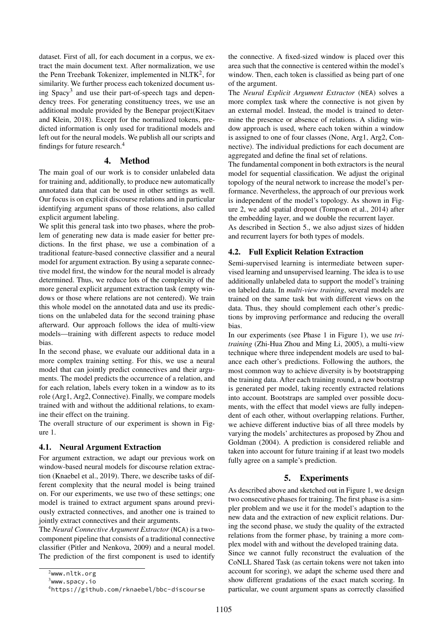dataset. First of all, for each document in a corpus, we extract the main document text. After normalization, we use the Penn Treebank Tokenizer, implemented in NLTK<sup>2</sup>, for similarity. We further process each tokenized document using Spacy<sup>3</sup> and use their part-of-speech tags and dependency trees. For generating constituency trees, we use an additional module provided by the Benepar project(Kitaev and Klein, 2018). Except for the normalized tokens, predicted information is only used for traditional models and left out for the neural models. We publish all our scripts and findings for future research.<sup>4</sup>

### 4. Method

The main goal of our work is to consider unlabeled data for training and, additionally, to produce new automatically annotated data that can be used in other settings as well. Our focus is on explicit discourse relations and in particular identifying argument spans of those relations, also called explicit argument labeling.

We split this general task into two phases, where the problem of generating new data is made easier for better predictions. In the first phase, we use a combination of a traditional feature-based connective classifier and a neural model for argument extraction. By using a separate connective model first, the window for the neural model is already determined. Thus, we reduce lots of the complexity of the more general explicit argument extraction task (empty windows or those where relations are not centered). We train this whole model on the annotated data and use its predictions on the unlabeled data for the second training phase afterward. Our approach follows the idea of multi-view models—training with different aspects to reduce model bias.

In the second phase, we evaluate our additional data in a more complex training setting. For this, we use a neural model that can jointly predict connectives and their arguments. The model predicts the occurrence of a relation, and for each relation, labels every token in a window as to its role (Arg1, Arg2, Connective). Finally, we compare models trained with and without the additional relations, to examine their effect on the training.

The overall structure of our experiment is shown in Figure 1.

### 4.1. Neural Argument Extraction

For argument extraction, we adapt our previous work on window-based neural models for discourse relation extraction (Knaebel et al., 2019). There, we describe tasks of different complexity that the neural model is being trained on. For our experiments, we use two of these settings; one model is trained to extract argument spans around previously extracted connectives, and another one is trained to jointly extract connectives and their arguments.

The *Neural Connective Argument Extractor* (NCA) is a twocomponent pipeline that consists of a traditional connective classifier (Pitler and Nenkova, 2009) and a neural model. The prediction of the first component is used to identify

the connective. A fixed-sized window is placed over this area such that the connective is centered within the model's window. Then, each token is classified as being part of one of the argument.

The *Neural Explicit Argument Extractor* (NEA) solves a more complex task where the connective is not given by an external model. Instead, the model is trained to determine the presence or absence of relations. A sliding window approach is used, where each token within a window is assigned to one of four classes (None, Arg1, Arg2, Connective). The individual predictions for each document are aggregated and define the final set of relations.

The fundamental component in both extractors is the neural model for sequential classification. We adjust the original topology of the neural network to increase the model's performance. Nevertheless, the approach of our previous work is independent of the model's topology. As shown in Figure 2, we add spatial dropout (Tompson et al., 2014) after the embedding layer, and we double the recurrent layer.

As described in Section 5., we also adjust sizes of hidden and recurrent layers for both types of models.

#### 4.2. Full Explicit Relation Extraction

Semi-supervised learning is intermediate between supervised learning and unsupervised learning. The idea is to use additionally unlabeled data to support the model's training on labeled data. In *multi-view training*, several models are trained on the same task but with different views on the data. Thus, they should complement each other's predictions by improving performance and reducing the overall bias.

In our experiments (see Phase 1 in Figure 1), we use *tritraining* (Zhi-Hua Zhou and Ming Li, 2005), a multi-view technique where three independent models are used to balance each other's predictions. Following the authors, the most common way to achieve diversity is by bootstrapping the training data. After each training round, a new bootstrap is generated per model, taking recently extracted relations into account. Bootstraps are sampled over possible documents, with the effect that model views are fully independent of each other, without overlapping relations. Further, we achieve different inductive bias of all three models by varying the models' architectures as proposed by Zhou and Goldman (2004). A prediction is considered reliable and taken into account for future training if at least two models fully agree on a sample's prediction.

### 5. Experiments

As described above and sketched out in Figure 1, we design two consecutive phases for training. The first phase is a simpler problem and we use it for the model's adaption to the new data and the extraction of new explicit relations. During the second phase, we study the quality of the extracted relations from the former phase, by training a more complex model with and without the developed training data. Since we cannot fully reconstruct the evaluation of the CoNLL Shared Task (as certain tokens were not taken into account for scoring), we adapt the scheme used there and show different gradations of the exact match scoring. In particular, we count argument spans as correctly classified

<sup>2</sup>www.nltk.org

 $3$ www.spacy.io

<sup>4</sup>https://github.com/rknaebel/bbc-discourse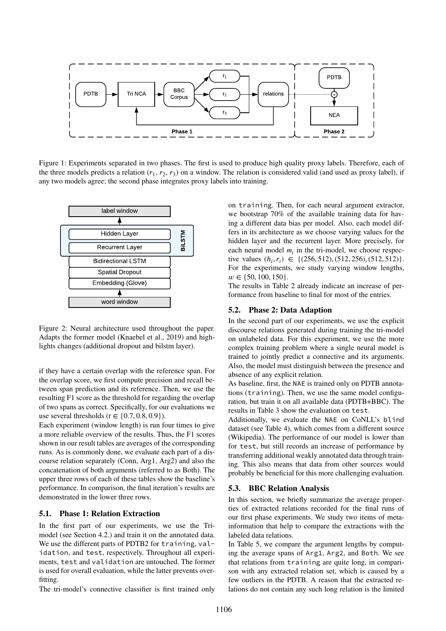

Figure 1: Experiments separated in two phases. The first is used to produce high quality proxy labels. Therefore, each of the three models predicts a relation  $(r_1, r_2, r_3)$  on a window. The relation is considered valid (and used as proxy label), if any two models agree; the second phase integrates proxy labels into training.



Figure 2: Neural architecture used throughout the paper. Adapts the former model (Knaebel et al., 2019) and highlights changes (additional dropout and bilstm layer).

if they have a certain overlap with the reference span. For the overlap score, we first compute precision and recall between span prediction and its reference. Then, we use the resulting F1 score as the threshold for regarding the overlap of two spans as correct. Specifically, for our evaluations we use several thresholds ( $t \in \{0.7, 0.8, 0.9\}$ ).

Each experiment (window length) is run four times to give a more reliable overview of the results. Thus, the F1 scores shown in our result tables are averages of the corresponding runs. As is commonly done, we evaluate each part of a discourse relation separately (Conn, Arg1, Arg2) and also the concatenation of both arguments (referred to as Both). The upper three rows of each of these tables show the baseline's performance. In comparison, the final iteration's results are demonstrated in the lower three rows.

### 5.1. Phase 1: Relation Extraction

In the first part of our experiments, we use the Trimodel (see Section 4.2.) and train it on the annotated data. We use the different parts of PDTB2 for training, validation, and test, respectively. Throughout all experiments, test and validation are untouched. The former is used for overall evaluation, while the latter prevents overfitting.

The tri-model's connective classifier is first trained only

**Phase 1**<br> **Example 11**<br> **Example 11**<br> **Example 11**<br> **Example 1**<br> **Example 1**<br> **Example 1**<br> **Example 1**<br> **Example 1**<br> **Example 1**<br> **Example 10**<br> **Example 10**<br> **Example 10**<br> **Example 10**<br> **Example 10**<br> **Example 10**<br> **Examp** on training. Then, for each neural argument extractor, we bootstrap 70% of the available training data for having a different data bias per model. Also, each model differs in its architecture as we choose varying values for the hidden layer and the recurrent layer. More precisely, for each neural model  $m_i$  in the tri-model, we choose respective values  $(h_i, r_i) \in \{(256, 512), (512, 256), (512, 512)\}.$ For the experiments, we study varying window lengths,  $w \in \{50, 100, 150\}.$ 

The results in Table 2 already indicate an increase of performance from baseline to final for most of the entries.

### 5.2. Phase 2: Data Adaption

In the second part of our experiments, we use the explicit discourse relations generated during training the tri-model on unlabeled data. For this experiment, we use the more complex training problem where a single neural model is trained to jointly predict a connective and its arguments. Also, the model must distinguish between the presence and absence of any explicit relation.

As baseline, first, the NAE is trained only on PDTB annotations (training). Then, we use the same model configuration, but train it on all available data (PDTB+BBC). The results in Table 3 show the evaluation on test.

Additionally, we evaluate the NAE on CoNLL's blind dataset (see Table 4), which comes from a different source (Wikipedia). The performance of our model is lower than for test, but still records an increase of performance by transferring additional weakly annotated data through training. This also means that data from other sources would probably be beneficial for this more challenging evaluation.

#### 5.3. BBC Relation Analysis

In this section, we briefly summarize the average properties of extracted relations recorded for the final runs of our first phase experiments. We study two items of metainformation that help to compare the extractions with the labeled data relations.

In Table 5, we compare the argument lengths by computing the average spans of Arg1, Arg2, and Both. We see that relations from training are quite long, in comparison with any extracted relation set, which is caused by a few outliers in the PDTB. A reason that the extracted relations do not contain any such long relation is the limited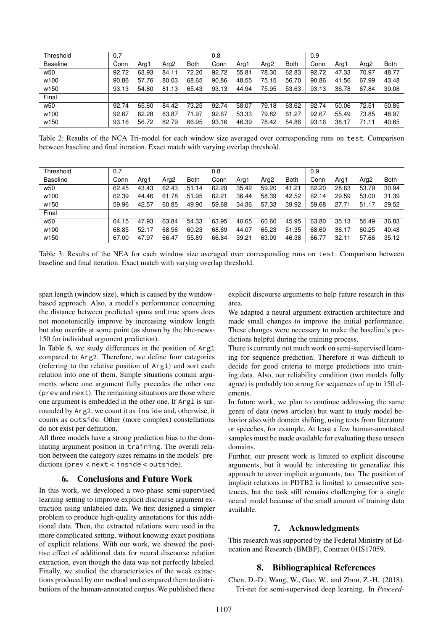| Threshold        | 0.7   |       |       |             | 0.8   |       |                  |             | 0.9   |       |                  |             |
|------------------|-------|-------|-------|-------------|-------|-------|------------------|-------------|-------|-------|------------------|-------------|
| <b>Baseline</b>  | Conn  | Arg1  | Arg2  | <b>Both</b> | Conn  | Arg1  | Arg <sub>2</sub> | <b>Both</b> | Conn  | Arg1  | Arg <sub>2</sub> | <b>Both</b> |
| w <sub>50</sub>  | 92.72 | 63.93 | 84.11 | 72.20       | 92.72 | 55.81 | 78.30            | 62.83       | 92.72 | 47.33 | 70.97            | 48.77       |
| w100             | 90.86 | 57.76 | 80.03 | 68.65       | 90.86 | 48.55 | 75.15            | 56.70       | 90.86 | 41.56 | 67.99            | 43.48       |
| w <sub>150</sub> | 93.13 | 54.80 | 81.13 | 65.43       | 93.13 | 44.94 | 75.95            | 53.63       | 93.13 | 36.78 | 67.84            | 39.08       |
| Final            |       |       |       |             |       |       |                  |             |       |       |                  |             |
| w <sub>50</sub>  | 92.74 | 65.60 | 84.42 | 73.25       | 92.74 | 58.07 | 79.18            | 63.62       | 92.74 | 50.06 | 72.51            | 50.85       |
| w100             | 92.67 | 62.28 | 83.87 | 71.97       | 92.67 | 53.33 | 79.82            | 61.27       | 92.67 | 55.49 | 73.85            | 48.97       |
| w <sub>150</sub> | 93.16 | 56.72 | 82.79 | 66.95       | 93.16 | 46.39 | 78.42            | 54.86       | 93.16 | 38.17 | 71.11            | 40.65       |

Table 2: Results of the NCA Tri-model for each window size averaged over corresponding runs on test. Comparison between baseline and final iteration. Exact match with varying overlap threshold.

| Threshold        | 0.7   |       |       |             | 0.8   |       |                  |             | 0.9   |       |       |             |
|------------------|-------|-------|-------|-------------|-------|-------|------------------|-------------|-------|-------|-------|-------------|
| <b>Baseline</b>  | Conn  | Ara1  | Arg2  | <b>Both</b> | Conn  | Arg1  | Arg <sub>2</sub> | <b>Both</b> | Conn  | Ara1  | Arg2  | <b>Both</b> |
| w <sub>50</sub>  | 62.45 | 43.43 | 62.43 | 51.14       | 62.29 | 35.42 | 59.20            | 41.21       | 62.20 | 28.63 | 53.79 | 30.94       |
| w100             | 62.39 | 44.46 | 61.78 | 51.95       | 62.21 | 36.44 | 58.39            | 42.52       | 62.14 | 29.59 | 53.00 | 31.39       |
| w <sub>150</sub> | 59.96 | 42.57 | 60.85 | 49.90       | 59.68 | 34.36 | 57.33            | 39.92       | 59.68 | 27.71 | 51.17 | 29.52       |
| Final            |       |       |       |             |       |       |                  |             |       |       |       |             |
| w <sub>50</sub>  | 64.15 | 47.93 | 63.84 | 54.33       | 63.95 | 40.65 | 60.60            | 45.95       | 63.80 | 35.13 | 55.49 | 36.83       |
| w100             | 68.85 | 52.17 | 68.56 | 60.23       | 68.69 | 44.07 | 65.23            | 51.35       | 68.60 | 38.17 | 60.25 | 40.48       |
| w <sub>150</sub> | 67.00 | 47.97 | 66.47 | 55.89       | 66.84 | 39.21 | 63.09            | 46.38       | 66.77 | 32.11 | 57.66 | 35.12       |

Table 3: Results of the NEA for each window size averaged over corresponding runs on test. Comparison between baseline and final iteration. Exact match with varying overlap threshold.

span length (window size), which is caused by the windowbased approach. Also, a model's performance concerning the distance between predicted spans and true spans does not monotonically improve by increasing window length but also overfits at some point (as shown by the bbc-news-150 for individual argument prediction).

In Table 6, we study differences in the position of Arg1 compared to Arg2. Therefore, we define four categories (referring to the relative position of Arg1) and sort each relation into one of them. Simple situations contain arguments where one argument fully precedes the other one (prev and next). The remaining situations are those where one argument is embedded in the other one. If Arg1 is surrounded by Arg2, we count it as inside and, otherwise, it counts as outside. Other (more complex) constellations do not exist per definition.

All three models have a strong prediction bias to the dominating argument position in training. The overall relation between the category sizes remains in the models' predictions (prev < next < inside < outside).

### 6. Conclusions and Future Work

In this work, we developed a two-phase semi-supervised learning setting to improve explicit discourse argument extraction using unlabeled data. We first designed a simpler problem to produce high-quality annotations for this additional data. Then, the extracted relations were used in the more complicated setting, without knowing exact positions of explicit relations. With our work, we showed the positive effect of additional data for neural discourse relation extraction, even though the data was not perfectly labeled. Finally, we studied the characteristics of the weak extractions produced by our method and compared them to distributions of the human-annotated corpus. We published these explicit discourse arguments to help future research in this area.

We adapted a neural argument extraction architecture and made small changes to improve the initial performance. These changes were necessary to make the baseline's predictions helpful during the training process.

There is currently not much work on semi-supervised learning for sequence prediction. Therefore it was difficult to decide for good criteria to merge predictions into training data. Also, our reliability condition (two models fully agree) is probably too strong for sequences of up to 150 elements.

In future work, we plan to continue addressing the same genre of data (news articles) but want to study model behavior also with domain shifting, using texts from literature or speeches, for example. At least a few human-annotated samples must be made available for evaluating these unseen domains.

Further, our present work is limited to explicit discourse arguments, but it would be interesting to generalize this approach to cover implicit arguments, too. The position of implicit relations in PDTB2 is limited to consecutive sentences, but the task still remains challenging for a single neural model because of the small amount of training data available.

### 7. Acknowledgments

This research was supported by the Federal Ministry of Education and Research (BMBF), Contract 01IS17059.

## 8. Bibliographical References

Chen, D.-D., Wang, W., Gao, W., and Zhou, Z.-H. (2018). Tri-net for semi-supervised deep learning. In *Proceed-*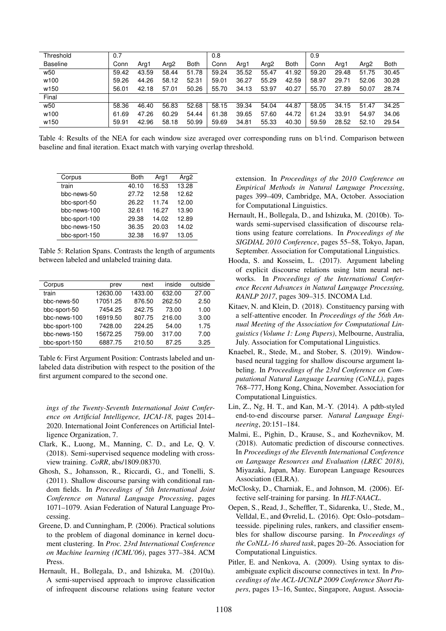| Threshold        | 0.7   |       |       |             | 0.8   |       |                  |             | 0.9   |       |                  |             |
|------------------|-------|-------|-------|-------------|-------|-------|------------------|-------------|-------|-------|------------------|-------------|
| <b>Baseline</b>  | Conn  | Arg1  | Arg2  | <b>Both</b> | Conn  | Arg1  | Arg <sub>2</sub> | <b>Both</b> | Conn  | Arg1  | Arg <sub>2</sub> | <b>Both</b> |
| w <sub>50</sub>  | 59.42 | 43.59 | 58.44 | 51.78       | 59.24 | 35.52 | 55.47            | 41.92       | 59.20 | 29.48 | 51.75            | 30.45       |
| w100             | 59.26 | 44.26 | 58.12 | 52.31       | 59.01 | 36.27 | 55.29            | 42.59       | 58.97 | 29.71 | 52.06            | 30.28       |
| w <sub>150</sub> | 56.01 | 42.18 | 57.01 | 50.26       | 55.70 | 34.13 | 53.97            | 40.27       | 55.70 | 27.89 | 50.07            | 28.74       |
| Final            |       |       |       |             |       |       |                  |             |       |       |                  |             |
| w <sub>50</sub>  | 58.36 | 46.40 | 56.83 | 52.68       | 58.15 | 39.34 | 54.04            | 44.87       | 58.05 | 34.15 | 51.47            | 34.25       |
| w <sub>100</sub> | 61.69 | 47.26 | 60.29 | 54.44       | 61.38 | 39.65 | 57.60            | 44.72       | 61.24 | 33.91 | 54.97            | 34.06       |
| w150             | 59.91 | 42.96 | 58.18 | 50.99       | 59.69 | 34.81 | 55.33            | 40.30       | 59.59 | 28.52 | 52.10            | 29.54       |

Table 4: Results of the NEA for each window size averaged over corresponding runs on blind. Comparison between baseline and final iteration. Exact match with varying overlap threshold.

| Corpus        | <b>Both</b> | Arg1  | Arg <sub>2</sub> |
|---------------|-------------|-------|------------------|
| train         | 40.10       | 16.53 | 13.28            |
| bbc-news-50   | 27.72       | 12.58 | 12.62            |
| bbc-sport-50  | 26.22       | 11.74 | 12.00            |
| bbc-news-100  | 32.61       | 16.27 | 13.90            |
| bbc-sport-100 | 29.38       | 14.02 | 12.89            |
| bbc-news-150  | 36.35       | 20.03 | 14.02            |
| bbc-sport-150 | 32.38       | 16.97 | 13.05            |

Table 5: Relation Spans. Contrasts the length of arguments between labeled and unlabeled training data.

| Corpus        | prev     | next    | inside | outside |
|---------------|----------|---------|--------|---------|
| train         | 12630.00 | 1433.00 | 632.00 | 27.00   |
| bbc-news-50   | 17051.25 | 876.50  | 262.50 | 2.50    |
| bbc-sport-50  | 7454.25  | 242.75  | 73.00  | 1.00    |
| bbc-news-100  | 16919.50 | 807.75  | 216.00 | 3.00    |
| bbc-sport-100 | 7428.00  | 224.25  | 54.00  | 1.75    |
| bbc-news-150  | 15672.25 | 759.00  | 317.00 | 7.00    |
| bbc-sport-150 | 6887.75  | 210.50  | 87.25  | 3.25    |

Table 6: First Argument Position: Contrasts labeled and unlabeled data distribution with respect to the position of the first argument compared to the second one.

*ings of the Twenty-Seventh International Joint Conference on Artificial Intelligence, IJCAI-18*, pages 2014– 2020. International Joint Conferences on Artificial Intelligence Organization, 7.

- Clark, K., Luong, M., Manning, C. D., and Le, Q. V. (2018). Semi-supervised sequence modeling with crossview training. *CoRR*, abs/1809.08370.
- Ghosh, S., Johansson, R., Riccardi, G., and Tonelli, S. (2011). Shallow discourse parsing with conditional random fields. In *Proceedings of 5th International Joint Conference on Natural Language Processing*, pages 1071–1079. Asian Federation of Natural Language Processing.
- Greene, D. and Cunningham, P. (2006). Practical solutions to the problem of diagonal dominance in kernel document clustering. In *Proc. 23rd International Conference on Machine learning (ICML'06)*, pages 377–384. ACM Press.
- Hernault, H., Bollegala, D., and Ishizuka, M. (2010a). A semi-supervised approach to improve classification of infrequent discourse relations using feature vector

extension. In *Proceedings of the 2010 Conference on Empirical Methods in Natural Language Processing*, pages 399–409, Cambridge, MA, October. Association for Computational Linguistics.

- Hernault, H., Bollegala, D., and Ishizuka, M. (2010b). Towards semi-supervised classification of discourse relations using feature correlations. In *Proceedings of the SIGDIAL 2010 Conference*, pages 55–58, Tokyo, Japan, September. Association for Computational Linguistics.
- Hooda, S. and Kosseim, L. (2017). Argument labeling of explicit discourse relations using lstm neural networks. In *Proceedings of the International Conference Recent Advances in Natural Language Processing, RANLP 2017*, pages 309–315. INCOMA Ltd.
- Kitaev, N. and Klein, D. (2018). Constituency parsing with a self-attentive encoder. In *Proceedings of the 56th Annual Meeting of the Association for Computational Linguistics (Volume 1: Long Papers)*, Melbourne, Australia, July. Association for Computational Linguistics.
- Knaebel, R., Stede, M., and Stober, S. (2019). Windowbased neural tagging for shallow discourse argument labeling. In *Proceedings of the 23rd Conference on Computational Natural Language Learning (CoNLL)*, pages 768–777, Hong Kong, China, November. Association for Computational Linguistics.
- Lin, Z., Ng, H. T., and Kan, M.-Y. (2014). A pdtb-styled end-to-end discourse parser. *Natural Language Engineering*, 20:151–184.
- Malmi, E., Pighin, D., Krause, S., and Kozhevnikov, M. (2018). Automatic prediction of discourse connectives. In *Proceedings of the Eleventh International Conference on Language Resources and Evaluation (LREC 2018)*, Miyazaki, Japan, May. European Language Resources Association (ELRA).
- McClosky, D., Charniak, E., and Johnson, M. (2006). Effective self-training for parsing. In *HLT-NAACL*.
- Oepen, S., Read, J., Scheffler, T., Sidarenka, U., Stede, M., Velldal, E., and Øvrelid, L. (2016). Opt: Oslo–potsdam– teesside. pipelining rules, rankers, and classifier ensembles for shallow discourse parsing. In *Proceedings of the CoNLL-16 shared task*, pages 20–26. Association for Computational Linguistics.
- Pitler, E. and Nenkova, A. (2009). Using syntax to disambiguate explicit discourse connectives in text. In *Proceedings of the ACL-IJCNLP 2009 Conference Short Papers*, pages 13–16, Suntec, Singapore, August. Associa-